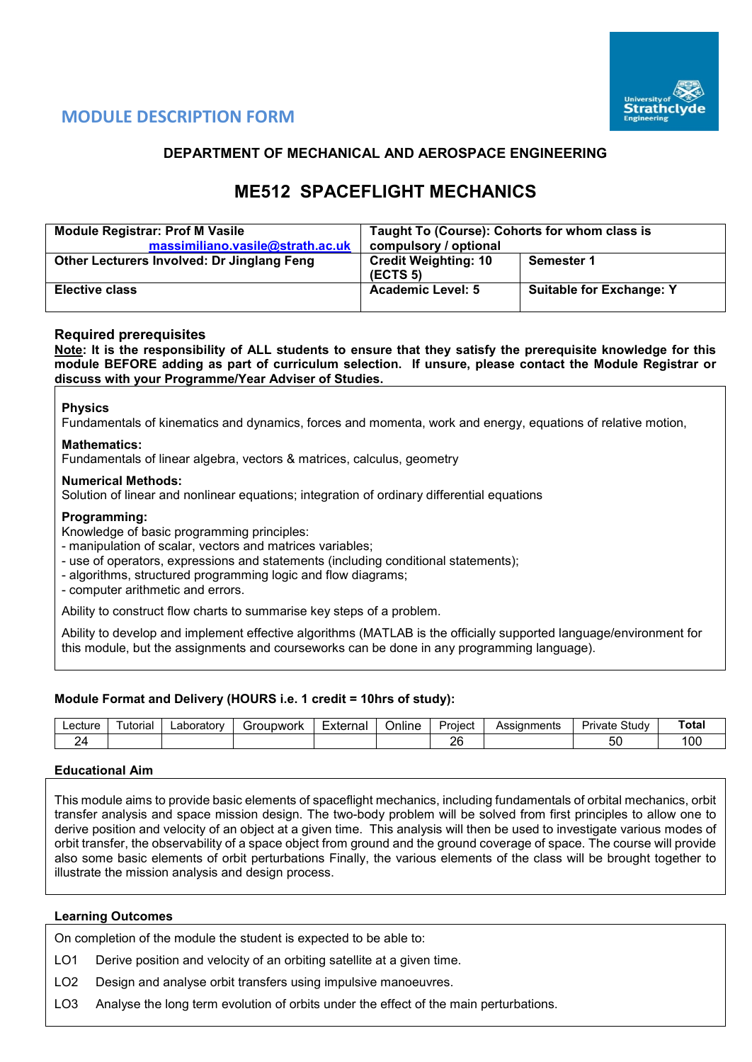

## **MODULE DESCRIPTION FORM**

## **DEPARTMENT OF MECHANICAL AND AEROSPACE ENGINEERING**

# **ME512 SPACEFLIGHT MECHANICS**

| <b>Module Registrar: Prof M Vasile</b><br>massimiliano.vasile@strath.ac.uk | Taught To (Course): Cohorts for whom class is<br>compulsory / optional |                                 |  |  |  |
|----------------------------------------------------------------------------|------------------------------------------------------------------------|---------------------------------|--|--|--|
| Other Lecturers Involved: Dr Jinglang Feng                                 | <b>Credit Weighting: 10</b><br>(ECTS <sub>5</sub> )                    | Semester 1                      |  |  |  |
| <b>Elective class</b>                                                      | <b>Academic Level: 5</b>                                               | <b>Suitable for Exchange: Y</b> |  |  |  |

## **Required prerequisites**

**Note: It is the responsibility of ALL students to ensure that they satisfy the prerequisite knowledge for this module BEFORE adding as part of curriculum selection. If unsure, please contact the Module Registrar or discuss with your Programme/Year Adviser of Studies.**

#### **Physics**

Fundamentals of kinematics and dynamics, forces and momenta, work and energy, equations of relative motion,

#### **Mathematics:**

Fundamentals of linear algebra, vectors & matrices, calculus, geometry

#### **Numerical Methods:**

Solution of linear and nonlinear equations; integration of ordinary differential equations

#### **Programming:**

Knowledge of basic programming principles:

- manipulation of scalar, vectors and matrices variables;

- use of operators, expressions and statements (including conditional statements);
- algorithms, structured programming logic and flow diagrams;

- computer arithmetic and errors.

Ability to construct flow charts to summarise key steps of a problem.

Ability to develop and implement effective algorithms (MATLAB is the officially supported language/environment for this module, but the assignments and courseworks can be done in any programming language).

## **Module Format and Delivery (HOURS i.e. 1 credit = 10hrs of study):**

| ∟ectur∈ | utorial | ∟aboratorv | upwork<br>`″∩ı. | $\overline{\phantom{0}}$<br>External | <br>⊃nlıne | Project | ıments<br><b>ACCION</b><br>955IU. | $\sim$<br>Studv<br>Private | Total |
|---------|---------|------------|-----------------|--------------------------------------|------------|---------|-----------------------------------|----------------------------|-------|
| -<br>-  |         |            |                 |                                      |            | o<br>-- |                                   | - -<br>ວບ                  | 00    |

#### **Educational Aim**

This module aims to provide basic elements of spaceflight mechanics, including fundamentals of orbital mechanics, orbit transfer analysis and space mission design. The two-body problem will be solved from first principles to allow one to derive position and velocity of an object at a given time. This analysis will then be used to investigate various modes of orbit transfer, the observability of a space object from ground and the ground coverage of space. The course will provide also some basic elements of orbit perturbations Finally, the various elements of the class will be brought together to illustrate the mission analysis and design process.

## **Learning Outcomes**

On completion of the module the student is expected to be able to:

LO1 Derive position and velocity of an orbiting satellite at a given time.

LO2 Design and analyse orbit transfers using impulsive manoeuvres.

LO3 Analyse the long term evolution of orbits under the effect of the main perturbations.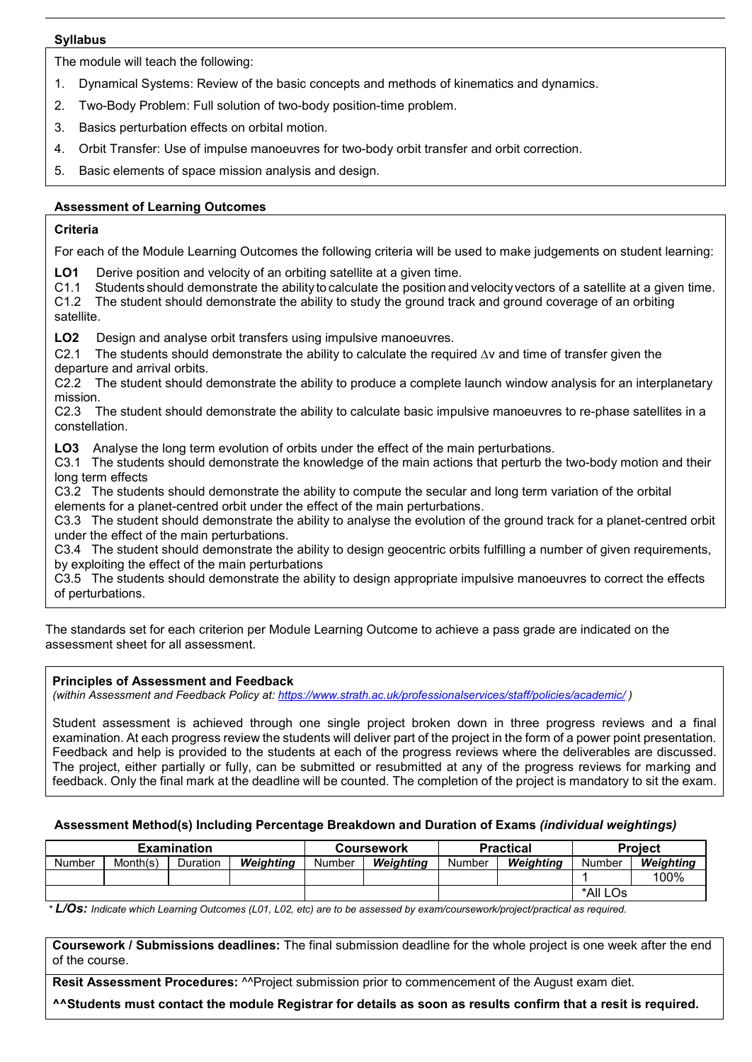#### **Syllabus**

The module will teach the following:

- 1. Dynamical Systems: Review of the basic concepts and methods of kinematics and dynamics.
- 2. Two-Body Problem: Full solution of two-body position-time problem.
- 3. Basics perturbation effects on orbital motion.
- 4. Orbit Transfer: Use of impulse manoeuvres for two-body orbit transfer and orbit correction.
- 5. Basic elements of space mission analysis and design.

## **Assessment of Learning Outcomes**

## **Criteria**

For each of the Module Learning Outcomes the following criteria will be used to make judgements on student learning:

**LO1** Derive position and velocity of an orbiting satellite at a given time.<br>C1.1 Students should demonstrate the ability to calculate the position and

Students should demonstrate the ability to calculate the position and velocity vectors of a satellite at a given time.

C1.2 The student should demonstrate the ability to study the ground track and ground coverage of an orbiting satellite.

**LO2** Design and analyse orbit transfers using impulsive manoeuvres.

C2.1 The students should demonstrate the ability to calculate the required ∆v and time of transfer given the departure and arrival orbits.

C2.2 The student should demonstrate the ability to produce a complete launch window analysis for an interplanetary mission.

C2.3 The student should demonstrate the ability to calculate basic impulsive manoeuvres to re-phase satellites in a constellation.

**LO3** Analyse the long term evolution of orbits under the effect of the main perturbations.

C3.1 The students should demonstrate the knowledge of the main actions that perturb the two-body motion and their long term effects

C3.2 The students should demonstrate the ability to compute the secular and long term variation of the orbital elements for a planet-centred orbit under the effect of the main perturbations.

C3.3 The student should demonstrate the ability to analyse the evolution of the ground track for a planet-centred orbit under the effect of the main perturbations.

C3.4 The student should demonstrate the ability to design geocentric orbits fulfilling a number of given requirements, by exploiting the effect of the main perturbations

C3.5 The students should demonstrate the ability to design appropriate impulsive manoeuvres to correct the effects of perturbations.

The standards set for each criterion per Module Learning Outcome to achieve a pass grade are indicated on the assessment sheet for all assessment.

## **Principles of Assessment and Feedback**

*(within Assessment and Feedback Policy at: <https://www.strath.ac.uk/professionalservices/staff/policies/academic/> )*

Student assessment is achieved through one single project broken down in three progress reviews and a final examination. At each progress review the students will deliver part of the project in the form of a power point presentation. Feedback and help is provided to the students at each of the progress reviews where the deliverables are discussed. The project, either partially or fully, can be submitted or resubmitted at any of the progress reviews for marking and feedback. Only the final mark at the deadline will be counted. The completion of the project is mandatory to sit the exam.

## **Assessment Method(s) Including Percentage Breakdown and Duration of Exams** *(individual weightings)*

| <b>Examination</b> |          |          |           |        | Coursework |        | <b>Practical</b> | <b>Project</b> |           |
|--------------------|----------|----------|-----------|--------|------------|--------|------------------|----------------|-----------|
| Number             | Month(s) | Duration | Weiahtina | Number | Weiahtina  | Number | Weiahtina        | Number         | Weighting |
|                    |          |          |           |        |            |        |                  |                | 100%      |
|                    |          |          |           |        |            |        | *All LOs         |                |           |

*\* L/Os: Indicate which Learning Outcomes (L01, L02, etc) are to be assessed by exam/coursework/project/practical as required.*

**Coursework / Submissions deadlines:** The final submission deadline for the whole project is one week after the end of the course.

**Resit Assessment Procedures: ^^Project submission prior to commencement of the August exam diet.** 

**^^Students must contact the module Registrar for details as soon as results confirm that a resit is required.**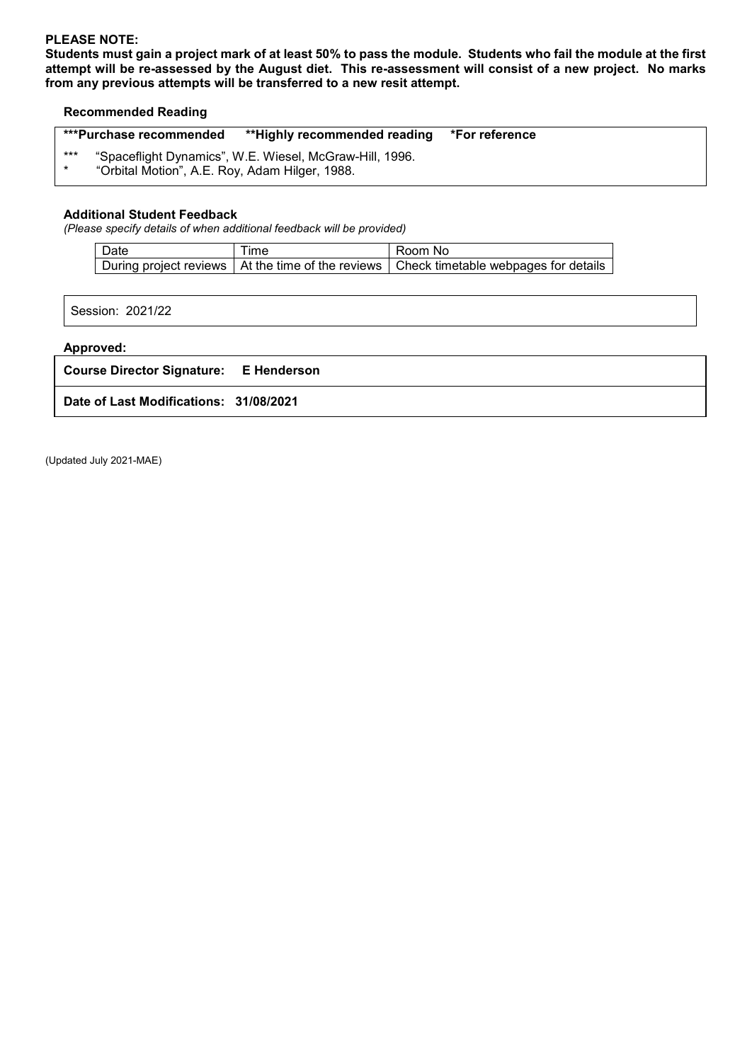## **PLEASE NOTE:**

**Students must gain a project mark of at least 50% to pass the module. Students who fail the module at the first attempt will be re-assessed by the August diet. This re-assessment will consist of a new project. No marks from any previous attempts will be transferred to a new resit attempt.**

#### **Recommended Reading**

|                | ***Purchase recommended                        | **Highly recommended reading *For reference             |  |
|----------------|------------------------------------------------|---------------------------------------------------------|--|
| ***<br>$\star$ | "Orbital Motion", A.E. Roy, Adam Hilger, 1988. | "Spaceflight Dynamics", W.E. Wiesel, McGraw-Hill, 1996. |  |

#### **Additional Student Feedback**

*(Please specify details of when additional feedback will be provided)*

| Date | <b>ime</b> | Room No                                                                                    |
|------|------------|--------------------------------------------------------------------------------------------|
|      |            | During project reviews   At the time of the reviews   Check timetable webpages for details |

Session: 2021/22

#### **Approved:**

**Course Director Signature: E Henderson**

**Date of Last Modifications: 31/08/2021**

(Updated July 2021-MAE)